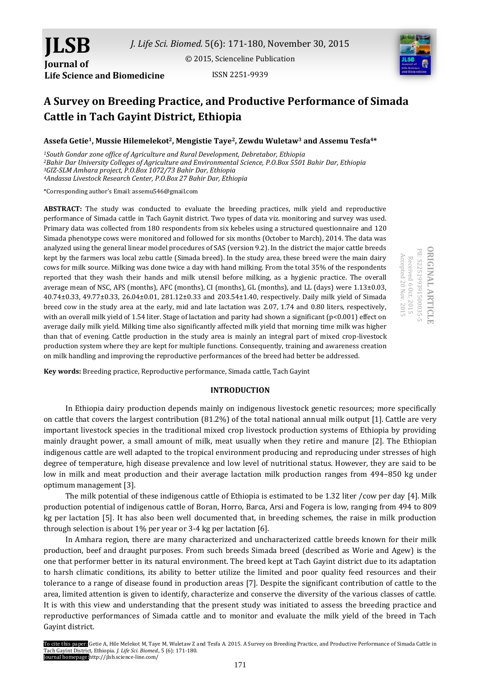[© 2015, Scienceline Publication](http://www.science-line.com/index/)



# **A Survey on Breeding Practice, and Productive Performance of Simada Cattle in Tach Gayint District, Ethiopia**

# **Assefa Getie1, Mussie Hilemelekot2, Mengistie Taye2, Zewdu Wuletaw<sup>3</sup> and Assemu Tesfa4\***

*South Gondar zone office of Agriculture and Rural Development, Debretabor, Ethiopia Bahir Dar University Colleges of Agriculture and Environmental Science, P.O.Box 5501 Bahir Dar, Ethiopia GIZ-SLM Amhara project, P.O.Box 1072/73 Bahir Dar, Ethiopia Andassa Livestock Research Center, P.O.Box 27 Bahir Dar, Ethiopia*

\*Corresponding author's Email: assemu546@gmail.com

**Life Science and Biomedicine**

**JLSB**

**Journal of** 

**ABSTRACT:** The study was conducted to evaluate the breeding practices, milk yield and reproductive performance of Simada cattle in Tach Gaynit district. Two types of data viz. monitoring and survey was used. Primary data was collected from 180 respondents from six kebeles using a structured questionnaire and 120 Simada phenotype cows were monitored and followed for six months (October to March), 2014. The data was analyzed using the general linear model procedures of SAS (version 9.2). In the district the major cattle breeds kept by the farmers was local zebu cattle (Simada breed). In the study area, these breed were the main dairy cows for milk source. Milking was done twice a day with hand milking. From the total 35% of the respondents reported that they wash their hands and milk utensil before milking, as a hygienic practice. The overall average mean of NSC, AFS (months), AFC (months), CI (months), GL (months), and LL (days) were 1.13±0.03, 40.74±0.33, 49.77±0.33, 26.04±0.01, 281.12±0.33 and 203.54±1.40, respectively. Daily milk yield of Simada breed cow in the study area at the early, mid and late lactation was 2.07, 1.74 and 0.80 liters, respectively, with an overall milk yield of 1.54 liter. Stage of lactation and parity had shown a significant (p<0.001) effect on average daily milk yield. Milking time also significantly affected milk yield that morning time milk was higher than that of evening. Cattle production in the study area is mainly an integral part of mixed crop-livestock production system where they are kept for multiple functions. Consequently, training and awareness creation on milk handling and improving the reproductive performances of the breed had better be addressed.

**ORIGINAL ARTICLE DRIGINAL ARTICLE** PII: S225199391500035-5 Accepted 20 Nov. 2015 Accepted 20 Received 6 Oct. 2015 Received 6 S225199391500035-5 Oct. 2015 Nov. 2015

**Key words:** Breeding practice, Reproductive performance, Simada cattle, Tach Gayint

## **INTRODUCTION**

In Ethiopia dairy production depends mainly on indigenous livestock genetic resources; more specifically on cattle that covers the largest contribution (81.2%) of the total national annual milk output [1]. Cattle are very important livestock species in the traditional mixed crop livestock production systems of Ethiopia by providing mainly draught power, a small amount of milk, meat usually when they retire and manure [2]. The Ethiopian indigenous cattle are well adapted to the tropical environment producing and reproducing under stresses of high degree of temperature, high disease prevalence and low level of nutritional status. However, they are said to be low in milk and meat production and their average lactation milk production ranges from 494–850 kg under optimum management [3].

The milk potential of these indigenous cattle of Ethiopia is estimated to be 1.32 liter /cow per day [4]. Milk production potential of indigenous cattle of Boran, Horro, Barca, Arsi and Fogera is low, ranging from 494 to 809 kg per lactation [5]. It has also been well documented that, in breeding schemes, the raise in milk production through selection is about 1% per year or 3-4 kg per lactation [6].

In Amhara region, there are many characterized and uncharacterized cattle breeds known for their milk production, beef and draught purposes. From such breeds Simada breed (described as Worie and Agew) is the one that performer better in its natural environment. The breed kept at Tach Gayint district due to its adaptation to harsh climatic conditions, its ability to better utilize the limited and poor quality feed resources and their tolerance to a range of disease found in production areas [7]. Despite the significant contribution of cattle to the area, limited attention is given to identify, characterize and conserve the diversity of the various classes of cattle. It is with this view and understanding that the present study was initiated to assess the breeding practice and reproductive performances of Simada cattle and to monitor and evaluate the milk yield of the breed in Tach Gayint district.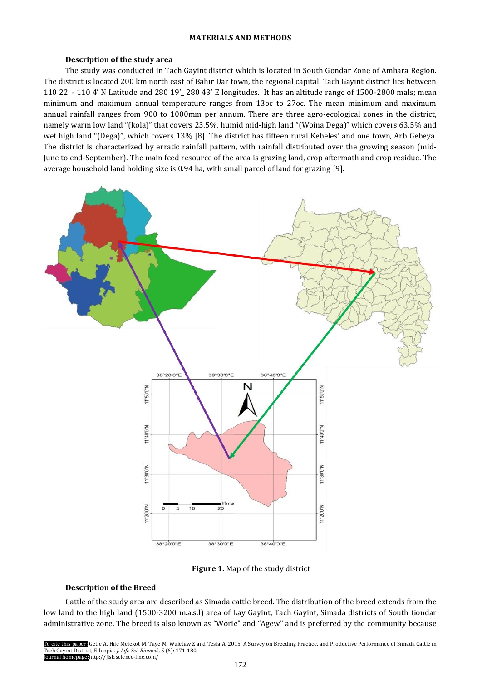# **MATERIALS AND METHODS**

# **Description of the study area**

The study was conducted in Tach Gayint district which is located in South Gondar Zone of Amhara Region. The district is located 200 km north east of Bahir Dar town, the regional capital. Tach Gayint district lies between 110 22' - 110 4' N Latitude and 280 19'\_ 280 43' E longitudes. It has an altitude range of 1500-2800 mals; mean minimum and maximum annual temperature ranges from 13oc to 27oc. The mean minimum and maximum annual rainfall ranges from 900 to 1000mm per annum. There are three agro-ecological zones in the district, namely warm low land "(kola)" that covers 23.5%, humid mid-high land "(Woina Dega)" which covers 63.5% and wet high land "(Dega)", which covers 13% [8]. The district has fifteen rural Kebeles' and one town, Arb Gebeya. The district is characterized by erratic rainfall pattern, with rainfall distributed over the growing season (mid-June to end-September). The main feed resource of the area is grazing land, crop aftermath and crop residue. The average household land holding size is 0.94 ha, with small parcel of land for grazing [9].



**Figure 1.** Map of the study district

# **Description of the Breed**

Cattle of the study area are described as Simada cattle breed. The distribution of the breed extends from the low land to the high land (1500-3200 m.a.s.l) area of Lay Gayint, Tach Gayint, Simada districts of South Gondar administrative zone. The breed is also known as "Worie" and "Agew" and is preferred by the community because

To cite this paper: Getie A, Hile Melekot M, Taye M, Wuletaw Z and Tesfa A. 2015. A Survey on Breeding Practice, and Productive Performance of Simada Cattle in Tach Gayint District, Ethiopia. *J. Life Sci. Biomed.,* 5 (6): 171-180. Journal homepage:http://jlsb.science-line.com/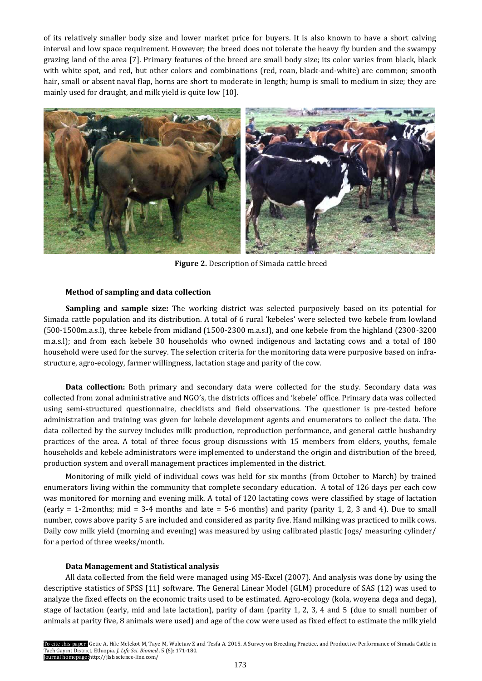of its relatively smaller body size and lower market price for buyers. It is also known to have a short calving interval and low space requirement. However; the breed does not tolerate the heavy fly burden and the swampy grazing land of the area [7]. Primary features of the breed are small body size; its color varies from black, black with white spot, and red, but other colors and combinations (red, roan, black-and-white) are common; smooth hair, small or absent naval flap, horns are short to moderate in length; hump is small to medium in size; they are mainly used for draught, and milk yield is quite low [10].



**Figure 2.** Description of Simada cattle breed

# **Method of sampling and data collection**

**Sampling and sample size:** The working district was selected purposively based on its potential for Simada cattle population and its distribution. A total of 6 rural 'kebeles' were selected two kebele from lowland (500-1500m.a.s.l), three kebele from midland (1500-2300 m.a.s.l), and one kebele from the highland (2300-3200 m.a.s.l); and from each kebele 30 households who owned indigenous and lactating cows and a total of 180 household were used for the survey. The selection criteria for the monitoring data were purposive based on infrastructure, agro-ecology, farmer willingness, lactation stage and parity of the cow.

**Data collection:** Both primary and secondary data were collected for the study. Secondary data was collected from zonal administrative and NGO's, the districts offices and 'kebele' office. Primary data was collected using semi-structured questionnaire, checklists and field observations. The questioner is pre-tested before administration and training was given for kebele development agents and enumerators to collect the data. The data collected by the survey includes milk production, reproduction performance, and general cattle husbandry practices of the area. A total of three focus group discussions with 15 members from elders, youths, female households and kebele administrators were implemented to understand the origin and distribution of the breed, production system and overall management practices implemented in the district.

Monitoring of milk yield of individual cows was held for six months (from October to March) by trained enumerators living within the community that complete secondary education. A total of 126 days per each cow was monitored for morning and evening milk. A total of 120 lactating cows were classified by stage of lactation (early = 1-2months; mid = 3-4 months and late = 5-6 months) and parity (parity 1, 2, 3 and 4). Due to small number, cows above parity 5 are included and considered as parity five. Hand milking was practiced to milk cows. Daily cow milk yield (morning and evening) was measured by using calibrated plastic Jogs/ measuring cylinder/ for a period of three weeks/month.

## **Data Management and Statistical analysis**

All data collected from the field were managed using MS-Excel (2007). And analysis was done by using the descriptive statistics of SPSS [11] software. The General Linear Model (GLM) procedure of SAS (12) was used to analyze the fixed effects on the economic traits used to be estimated. Agro-ecology (kola, woyena dega and dega), stage of lactation (early, mid and late lactation), parity of dam (parity 1, 2, 3, 4 and 5 (due to small number of animals at parity five, 8 animals were used) and age of the cow were used as fixed effect to estimate the milk yield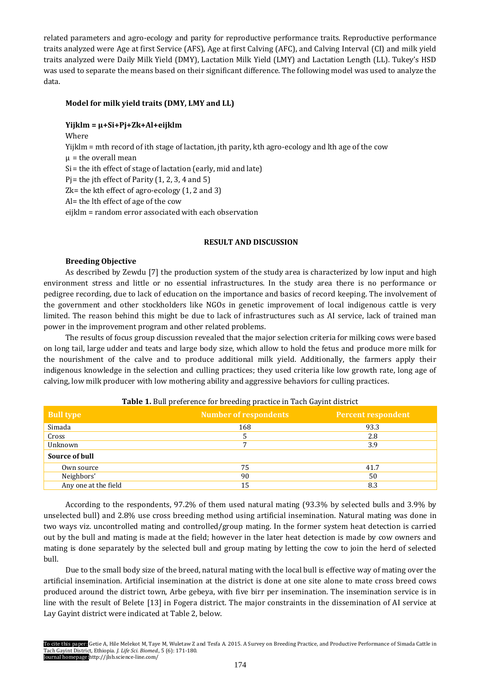related parameters and agro-ecology and parity for reproductive performance traits. Reproductive performance traits analyzed were Age at first Service (AFS), Age at first Calving (AFC), and Calving Interval (CI) and milk yield traits analyzed were Daily Milk Yield (DMY), Lactation Milk Yield (LMY) and Lactation Length (LL). Tukey's HSD was used to separate the means based on their significant difference. The following model was used to analyze the data.

# **Model for milk yield traits (DMY, LMY and LL)**

# **Yijklm = µ+Si+Pj+Zk+Al+eijklm**

Where Yijklm = mth record of ith stage of lactation, jth parity, kth agro-ecology and lth age of the cow  $\mu$  = the overall mean Si= the ith effect of stage of lactation (early, mid and late) Pj = the jth effect of Parity  $(1, 2, 3, 4$  and 5) Zk= the kth effect of agro-ecology (1, 2 and 3) Al= the lth effect of age of the cow eijklm = random error associated with each observation

# **RESULT AND DISCUSSION**

# **Breeding Objective**

As described by Zewdu [7] the production system of the study area is characterized by low input and high environment stress and little or no essential infrastructures. In the study area there is no performance or pedigree recording, due to lack of education on the importance and basics of record keeping. The involvement of the government and other stockholders like NGOs in genetic improvement of local indigenous cattle is very limited. The reason behind this might be due to lack of infrastructures such as AI service, lack of trained man power in the improvement program and other related problems.

The results of focus group discussion revealed that the major selection criteria for milking cows were based on long tail, large udder and teats and large body size, which allow to hold the fetus and produce more milk for the nourishment of the calve and to produce additional milk yield. Additionally, the farmers apply their indigenous knowledge in the selection and culling practices; they used criteria like low growth rate, long age of calving, low milk producer with low mothering ability and aggressive behaviors for culling practices.

| <b>Bull type</b>     | <b>Number of respondents</b> | <b>Percent respondent</b> |
|----------------------|------------------------------|---------------------------|
| Simada               | 168                          | 93.3                      |
| Cross                |                              | 2.8                       |
| Unknown              | 7                            | 3.9                       |
| Source of bull       |                              |                           |
| Own source           | 75                           | 41.7                      |
| Neighbors'           | 90                           | 50                        |
| Any one at the field | 15                           | 8.3                       |

**Table 1.** Bull preference for breeding practice in Tach Gayint district

According to the respondents, 97.2% of them used natural mating (93.3% by selected bulls and 3.9% by unselected bull) and 2.8% use cross breeding method using artificial insemination. Natural mating was done in two ways viz. uncontrolled mating and controlled/group mating. In the former system heat detection is carried out by the bull and mating is made at the field; however in the later heat detection is made by cow owners and mating is done separately by the selected bull and group mating by letting the cow to join the herd of selected bull.

Due to the small body size of the breed, natural mating with the local bull is effective way of mating over the artificial insemination. Artificial insemination at the district is done at one site alone to mate cross breed cows produced around the district town, Arbe gebeya, with five birr per insemination. The insemination service is in line with the result of Belete [13] in Fogera district. The major constraints in the dissemination of AI service at Lay Gayint district were indicated at Table 2, below.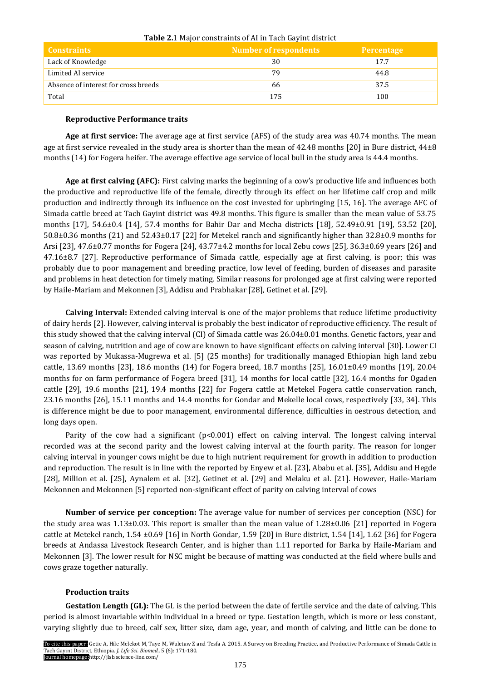| <b>Constraints</b>                   | <b>Number of respondents</b> | Percentage |
|--------------------------------------|------------------------------|------------|
| Lack of Knowledge                    | 30                           | 17.7       |
| Limited AI service                   | 79                           | 44.8       |
| Absence of interest for cross breeds | 66                           | 37.5       |
| Total                                | 175                          | 100        |

# **Table 2.**1 Major constraints of AI in Tach Gayint district

# **Reproductive Performance traits**

**Age at first service:** The average age at first service (AFS) of the study area was 40.74 months. The mean age at first service revealed in the study area is shorter than the mean of 42.48 months [20] in Bure district, 44±8 months (14) for Fogera heifer. The average effective age service of local bull in the study area is 44.4 months.

**Age at first calving (AFC):** First calving marks the beginning of a cow's productive life and influences both the productive and reproductive life of the female, directly through its effect on her lifetime calf crop and milk production and indirectly through its influence on the cost invested for upbringing [15, 16]. The average AFC of Simada cattle breed at Tach Gayint district was 49.8 months. This figure is smaller than the mean value of 53.75 months [17], 54.6±0.4 [14], 57.4 months for Bahir Dar and Mecha districts [18], 52.49±0.91 [19], 53.52 [20], 50.8±0.36 months (21) and 52.43±0.17 [22] for Metekel ranch and significantly higher than 32.8±0.9 months for Arsi [23], 47.6±0.77 months for Fogera [24], 43.77±4.2 months for local Zebu cows [25], 36.3±0.69 years [26] and 47.16±8.7 [27]. Reproductive performance of Simada cattle, especially age at first calving, is poor; this was probably due to poor management and breeding practice, low level of feeding, burden of diseases and parasite and problems in heat detection for timely mating. Similar reasons for prolonged age at first calving were reported by Haile-Mariam and Mekonnen [3], Addisu and Prabhakar [28], Getinet et al. [29].

**Calving Interval:** Extended calving interval is one of the major problems that reduce lifetime productivity of dairy herds [2]. However, calving interval is probably the best indicator of reproductive efficiency. The result of this study showed that the calving interval (CI) of Simada cattle was 26.04±0.01 months. Genetic factors, year and season of calving, nutrition and age of cow are known to have significant effects on calving interval [30]. Lower CI was reported by Mukassa-Mugrewa et al. [5] (25 months) for traditionally managed Ethiopian high land zebu cattle, 13.69 months [23], 18.6 months (14) for Fogera breed, 18.7 months [25], 16.01±0.49 months [19], 20.04 months for on farm performance of Fogera breed [31], 14 months for local cattle [32], 16.4 months for Ogaden cattle [29], 19.6 months [21], 19.4 months [22] for Fogera cattle at Metekel Fogera cattle conservation ranch, 23.16 months [26], 15.11 months and 14.4 months for Gondar and Mekelle local cows, respectively [33, 34]. This is difference might be due to poor management, environmental difference, difficulties in oestrous detection, and long days open.

Parity of the cow had a significant  $(p<0.001)$  effect on calving interval. The longest calving interval recorded was at the second parity and the lowest calving interval at the fourth parity. The reason for longer calving interval in younger cows might be due to high nutrient requirement for growth in addition to production and reproduction. The result is in line with the reported by Enyew et al. [23], Ababu et al. [35], Addisu and Hegde [28], Million et al. [25], Aynalem et al. [32], Getinet et al. [29] and Melaku et al. [21]. However, Haile-Mariam Mekonnen and Mekonnen [5] reported non-significant effect of parity on calving interval of cows

**Number of service per conception:** The average value for number of services per conception (NSC) for the study area was 1.13±0.03. This report is smaller than the mean value of 1.28±0.06 [21] reported in Fogera cattle at Metekel ranch, 1.54 ±0.69 [16] in North Gondar, 1.59 [20] in Bure district, 1.54 [14], 1.62 [36] for Fogera breeds at Andassa Livestock Research Center, and is higher than 1.11 reported for Barka by Haile-Mariam and Mekonnen [3]. The lower result for NSC might be because of matting was conducted at the field where bulls and cows graze together naturally.

# **Production traits**

**Gestation Length (GL):** The GL is the period between the date of fertile service and the date of calving. This period is almost invariable within individual in a breed or type. Gestation length, which is more or less constant, varying slightly due to breed, calf sex, litter size, dam age, year, and month of calving, and little can be done to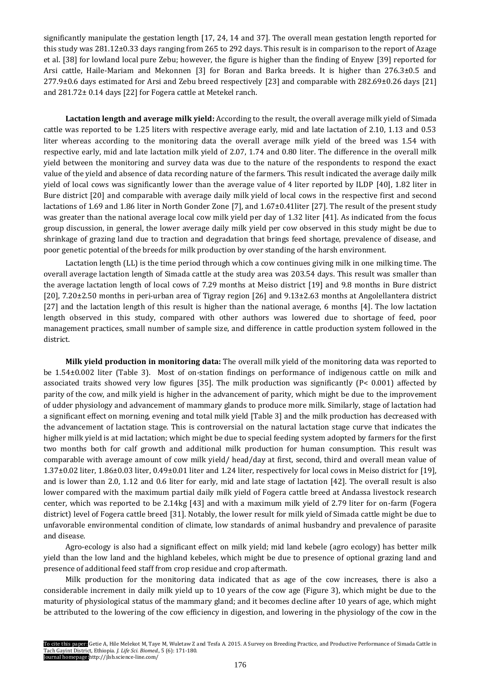significantly manipulate the gestation length [17, 24, 14 and 37]. The overall mean gestation length reported for this study was 281.12±0.33 days ranging from 265 to 292 days. This result is in comparison to the report of Azage et al. [38] for lowland local pure Zebu; however, the figure is higher than the finding of Enyew [39] reported for Arsi cattle, Haile-Mariam and Mekonnen [3] for Boran and Barka breeds. It is higher than 276.3±0.5 and 277.9±0.6 days estimated for Arsi and Zebu breed respectively [23] and comparable with 282.69±0.26 days [21] and 281.72± 0.14 days [22] for Fogera cattle at Metekel ranch.

**Lactation length and average milk yield:** According to the result, the overall average milk yield of Simada cattle was reported to be 1.25 liters with respective average early, mid and late lactation of 2.10, 1.13 and 0.53 liter whereas according to the monitoring data the overall average milk yield of the breed was 1.54 with respective early, mid and late lactation milk yield of 2.07, 1.74 and 0.80 liter. The difference in the overall milk yield between the monitoring and survey data was due to the nature of the respondents to respond the exact value of the yield and absence of data recording nature of the farmers. This result indicated the average daily milk yield of local cows was significantly lower than the average value of 4 liter reported by ILDP [40], 1.82 liter in Bure district [20] and comparable with average daily milk yield of local cows in the respective first and second lactations of 1.69 and 1.86 liter in North Gonder Zone [7], and 1.67±0.41liter [27]. The result of the present study was greater than the national average local cow milk yield per day of 1.32 liter [41]. As indicated from the focus group discussion, in general, the lower average daily milk yield per cow observed in this study might be due to shrinkage of grazing land due to traction and degradation that brings feed shortage, prevalence of disease, and poor genetic potential of the breeds for milk production by over standing of the harsh environment.

Lactation length (LL) is the time period through which a cow continues giving milk in one milking time. The overall average lactation length of Simada cattle at the study area was 203.54 days. This result was smaller than the average lactation length of local cows of 7.29 months at Meiso district [19] and 9.8 months in Bure district [20], 7.20±2.50 months in peri-urban area of Tigray region [26] and 9.13±2.63 months at Angolellantera district [27] and the lactation length of this result is higher than the national average, 6 months [4]. The low lactation length observed in this study, compared with other authors was lowered due to shortage of feed, poor management practices, small number of sample size, and difference in cattle production system followed in the district.

**Milk yield production in monitoring data:** The overall milk yield of the monitoring data was reported to be 1.54±0.002 liter (Table 3). Most of on-station findings on performance of indigenous cattle on milk and associated traits showed very low figures [35]. The milk production was significantly (P< 0.001) affected by parity of the cow, and milk yield is higher in the advancement of parity, which might be due to the improvement of udder physiology and advancement of mammary glands to produce more milk. Similarly, stage of lactation had a significant effect on morning, evening and total milk yield [Table 3] and the milk production has decreased with the advancement of lactation stage. This is controversial on the natural lactation stage curve that indicates the higher milk yield is at mid lactation; which might be due to special feeding system adopted by farmers for the first two months both for calf growth and additional milk production for human consumption. This result was comparable with average amount of cow milk yield/ head/day at first, second, third and overall mean value of 1.37±0.02 liter, 1.86±0.03 liter, 0.49±0.01 liter and 1.24 liter, respectively for local cows in Meiso district for [19], and is lower than 2.0, 1.12 and 0.6 liter for early, mid and late stage of lactation [42]. The overall result is also lower compared with the maximum partial daily milk yield of Fogera cattle breed at Andassa livestock research center, which was reported to be 2.14kg [43] and with a maximum milk yield of 2.79 liter for on-farm (Fogera district) level of Fogera cattle breed [31]. Notably, the lower result for milk yield of Simada cattle might be due to unfavorable environmental condition of climate, low standards of animal husbandry and prevalence of parasite and disease.

Agro-ecology is also had a significant effect on milk yield; mid land kebele (agro ecology) has better milk yield than the low land and the highland kebeles, which might be due to presence of optional grazing land and presence of additional feed staff from crop residue and crop aftermath.

Milk production for the monitoring data indicated that as age of the cow increases, there is also a considerable increment in daily milk yield up to 10 years of the cow age (Figure 3), which might be due to the maturity of physiological status of the mammary gland; and it becomes decline after 10 years of age, which might be attributed to the lowering of the cow efficiency in digestion, and lowering in the physiology of the cow in the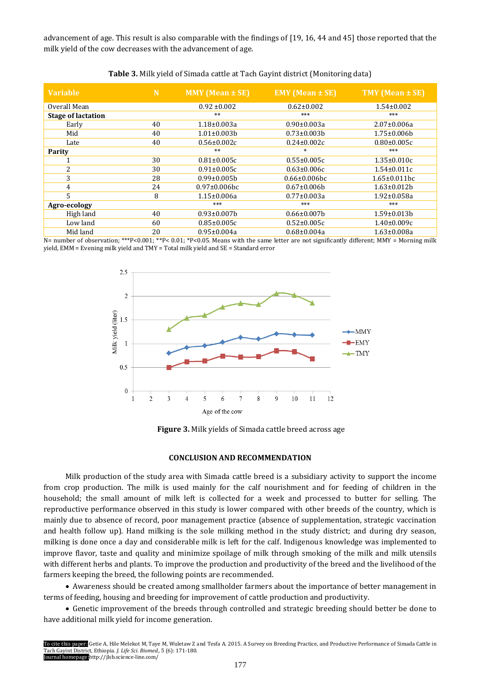advancement of age. This result is also comparable with the findings of [19, 16, 44 and 45] those reported that the milk yield of the cow decreases with the advancement of age.

| <b>Variable</b>           | N  | <b>MMY</b> (Mean $\pm$ SE) | <b>EMY</b> (Mean ± SE) | TMY (Mean ± SE)     |
|---------------------------|----|----------------------------|------------------------|---------------------|
| Overall Mean              |    | $0.92 \pm 0.002$           | $0.62 \pm 0.002$       | $1.54 \pm 0.002$    |
| <b>Stage of lactation</b> |    | $**$                       | ***                    | ***                 |
| Early                     | 40 | $1.18 \pm 0.003a$          | $0.90 \pm 0.003a$      | $2.07 \pm 0.006a$   |
| Mid                       | 40 | $1.01 \pm 0.003 b$         | $0.73 \pm 0.003 b$     | $1.75 \pm 0.006 b$  |
| Late                      | 40 | $0.56 \pm 0.002c$          | $0.24 \pm 0.002c$      | $0.80 \pm 0.005c$   |
| <b>Parity</b>             |    | $**$                       | $\ast$                 | ***                 |
| 1                         | 30 | $0.81 \pm 0.005c$          | $0.55 \pm 0.005c$      | $1.35 \pm 0.010c$   |
| $\overline{2}$            | 30 | $0.91 \pm 0.005c$          | $0.63 \pm 0.006c$      | $1.54 \pm 0.011c$   |
| 3                         | 28 | $0.99 \pm 0.005 b$         | $0.66 \pm 0.006$ bc    | $1.65 \pm 0.011$ bc |
| 4                         | 24 | $0.97 \pm 0.006$ bc        | $0.67 \pm 0.006 b$     | $1.63 \pm 0.012 b$  |
| 5                         | 8  | $1.15 \pm 0.006a$          | $0.77 \pm 0.003a$      | 1.92±0.058a         |
| Agro-ecology              |    | ***                        | ***                    | ***                 |
| High land                 | 40 | $0.93 \pm 0.007 b$         | $0.66 \pm 0.007 b$     | $1.59 \pm 0.013 b$  |
| Low land                  | 60 | $0.85 \pm 0.005c$          | $0.52 \pm 0.005c$      | $1.40\pm0.009c$     |
| Mid land                  | 20 | $0.95 \pm 0.004a$          | $0.68 \pm 0.004a$      | $1.63 \pm 0.008a$   |

| Table 3. Milk yield of Simada cattle at Tach Gayint district (Monitoring data) |  |  |  |  |
|--------------------------------------------------------------------------------|--|--|--|--|
|--------------------------------------------------------------------------------|--|--|--|--|

N= number of observation; \*\*\*P<0.001; \*\*P<0.01; \*P<0.05. Means with the same letter are not significantly different; MMY = Morning milk yield, EMM = Evening milk yield and TMY = Total milk yield and SE = Standard error



**Figure 3.** Milk yields of Simada cattle breed across age

# **CONCLUSION AND RECOMMENDATION**

Milk production of the study area with Simada cattle breed is a subsidiary activity to support the income from crop production. The milk is used mainly for the calf nourishment and for feeding of children in the household; the small amount of milk left is collected for a week and processed to butter for selling. The reproductive performance observed in this study is lower compared with other breeds of the country, which is mainly due to absence of record, poor management practice (absence of supplementation, strategic vaccination and health follow up). Hand milking is the sole milking method in the study district; and during dry season, milking is done once a day and considerable milk is left for the calf. Indigenous knowledge was implemented to improve flavor, taste and quality and minimize spoilage of milk through smoking of the milk and milk utensils with different herbs and plants. To improve the production and productivity of the breed and the livelihood of the farmers keeping the breed, the following points are recommended.

 Awareness should be created among smallholder farmers about the importance of better management in terms of feeding, housing and breeding for improvement of cattle production and productivity.

 Genetic improvement of the breeds through controlled and strategic breeding should better be done to have additional milk yield for income generation.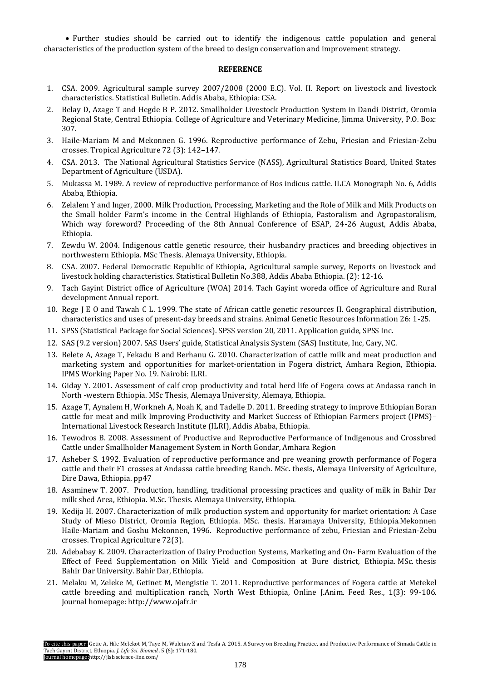Further studies should be carried out to identify the indigenous cattle population and general characteristics of the production system of the breed to design conservation and improvement strategy.

# **REFERENCE**

- 1. CSA. 2009. Agricultural sample survey 2007/2008 (2000 E.C). Vol. II. Report on livestock and livestock characteristics. Statistical Bulletin. Addis Ababa, Ethiopia: CSA.
- 2. Belay D, Azage T and Hegde B P. 2012. Smallholder Livestock Production System in Dandi District, Oromia Regional State, Central Ethiopia. College of Agriculture and Veterinary Medicine, Jimma University, P.O. Box: 307.
- 3. Haile-Mariam M and Mekonnen G. 1996. Reproductive performance of Zebu, Friesian and Friesian-Zebu crosses. Tropical Agriculture 72 (3): 142–147.
- 4. CSA. 2013. The National Agricultural Statistics Service (NASS), Agricultural Statistics Board, United States Department of Agriculture (USDA).
- 5. Mukassa M. 1989. A review of reproductive performance of Bos indicus cattle. ILCA Monograph No. 6, Addis Ababa, Ethiopia.
- 6. Zelalem Y and Inger, 2000. Milk Production, Processing, Marketing and the Role of Milk and Milk Products on the Small holder Farm's income in the Central Highlands of Ethiopia, Pastoralism and Agropastoralism, Which way foreword? Proceeding of the 8th Annual Conference of ESAP, 24-26 August, Addis Ababa, Ethiopia.
- 7. Zewdu W. 2004. Indigenous cattle genetic resource, their husbandry practices and breeding objectives in northwestern Ethiopia. MSc Thesis. Alemaya University, Ethiopia.
- 8. CSA. 2007. Federal Democratic Republic of Ethiopia, Agricultural sample survey, Reports on livestock and livestock holding characteristics. Statistical Bulletin No.388, Addis Ababa Ethiopia. (2): 12-16.
- 9. Tach Gayint District office of Agriculture (WOA) 2014. Tach Gayint woreda office of Agriculture and Rural development Annual report.
- 10. Rege J E O and Tawah C L. 1999. The state of African cattle genetic resources II. Geographical distribution, characteristics and uses of present-day breeds and strains. Animal Genetic Resources Information 26: 1-25.
- 11. SPSS (Statistical Package for Social Sciences). SPSS version 20, 2011. Application guide, SPSS Inc.
- 12. SAS (9.2 version) 2007. SAS Users' guide, Statistical Analysis System (SAS) Institute, Inc, Cary, NC.
- 13. Belete A, Azage T, Fekadu B and Berhanu G. 2010. Characterization of cattle milk and meat production and marketing system and opportunities for market-orientation in Fogera district, Amhara Region, Ethiopia. IPMS Working Paper No. 19. Nairobi: ILRI.
- 14. Giday Y. 2001. Assessment of calf crop productivity and total herd life of Fogera cows at Andassa ranch in North -western Ethiopia. MSc Thesis, Alemaya University, Alemaya, Ethiopia.
- 15. Azage T, Aynalem H, Workneh A, Noah K, and Tadelle D. 2011. Breeding strategy to improve Ethiopian Boran cattle for meat and milk Improving Productivity and Market Success of Ethiopian Farmers project (IPMS)– International Livestock Research Institute (ILRI), Addis Ababa, Ethiopia.
- 16. Tewodros B. 2008. Assessment of Productive and Reproductive Performance of Indigenous and Crossbred Cattle under Smallholder Management System in North Gondar, Amhara Region
- 17. Asheber S. 1992. Evaluation of reproductive performance and pre weaning growth performance of Fogera cattle and their F1 crosses at Andassa cattle breeding Ranch. MSc. thesis, Alemaya University of Agriculture, Dire Dawa, Ethiopia. pp47
- 18. Asaminew T. 2007. Production, handling, traditional processing practices and quality of milk in Bahir Dar milk shed Area, Ethiopia. M.Sc. Thesis. Alemaya University, Ethiopia.
- 19. Kedija H. 2007. Characterization of milk production system and opportunity for market orientation: A Case Study of Mieso District, Oromia Region, Ethiopia. MSc. thesis. Haramaya University, Ethiopia.Mekonnen Haile-Mariam and Goshu Mekonnen, 1996. Reproductive performance of zebu, Friesian and Friesian-Zebu crosses. Tropical Agriculture 72(3).
- 20. Adebabay K. 2009. Characterization of Dairy Production Systems, Marketing and On- Farm Evaluation of the Effect of Feed Supplementation on Milk Yield and Composition at Bure district, Ethiopia. MSc. thesis Bahir Dar University. Bahir Dar, Ethiopia.
- 21. Melaku M, Zeleke M, Getinet M, Mengistie T. 2011. Reproductive performances of Fogera cattle at Metekel cattle breeding and multiplication ranch, North West Ethiopia, Online J.Anim. Feed Res., 1(3): 99-106. Journal homepage: [http://www.ojafr.ir](http://www.ojafr.ir/)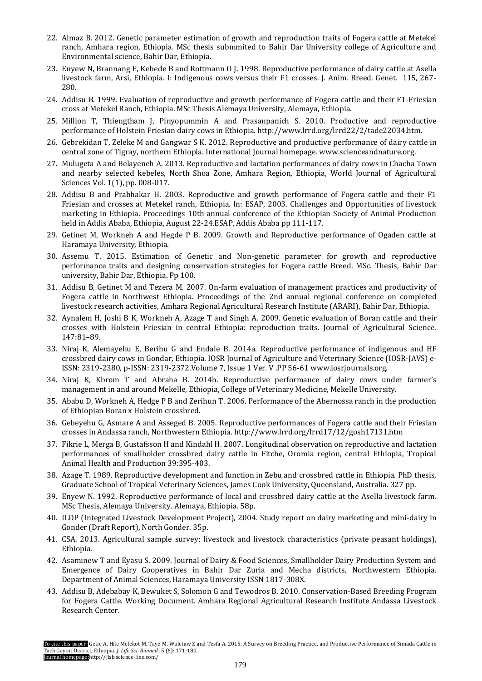- 22. Almaz B. 2012. Genetic parameter estimation of growth and reproduction traits of Fogera cattle at Metekel ranch, Amhara region, Ethiopia. MSc thesis submmited to Bahir Dar University college of Agriculture and Environmental science, Bahir Dar, Ethiopia.
- 23. Enyew N, Brannang E, Kebede B and Rottmann O J. 1998. Reproductive performance of dairy cattle at Asella livestock farm, Arsi, Ethiopia. I: Indigenous cows versus their F1 crosses. J. Anim. Breed. Genet. 115, 267- 280.
- 24. Addisu B. 1999. Evaluation of reproductive and growth performance of Fogera cattle and their F1-Friesian cross at Metekel Ranch, Ethiopia. MSc Thesis Alemaya University, Alemaya, Ethiopia.
- 25. Million T, Thiengtham J, Pinyopummin A and Prasanpanich S. 2010. Productive and reproductive performance of Holstein Friesian dairy cows in Ethiopia. [http://www.lrrd.org/lrrd22/2/tade22034.htm.](http://www.lrrd.org/lrrd22/2/tade22034.htm)
- 26. Gebrekidan T, Zeleke M and Gangwar S K. 2012. Reproductive and productive performance of dairy cattle in central zone of Tigray, northern Ethiopia. International Journal homepage. [www.scienceandnature.org.](http://www.scienceandnature.org/)
- 27. Mulugeta A and Belayeneh A. 2013. Reproductive and lactation performances of dairy cows in Chacha Town and nearby selected kebeles, North Shoa Zone, Amhara Region, Ethiopia, World Journal of Agricultural Sciences Vol. 1(1), pp. 008-017.
- 28. Addisu B and Prabhakar H. 2003. Reproductive and growth performance of Fogera cattle and their F1 Friesian and crosses at Metekel ranch, Ethiopia. In: ESAP, 2003. Challenges and Opportunities of livestock marketing in Ethiopia. Proceedings 10th annual conference of the Ethiopian Society of Animal Production held in Addis Ababa, Ethiopia, August 22-24.ESAP, Addis Ababa pp 111-117.
- 29. Getinet M, Workneh A and Hegde P B. 2009. Growth and Reproductive performance of Ogaden cattle at Haramaya University, Ethiopia.
- 30. Assemu T. 2015. Estimation of Genetic and Non-genetic parameter for growth and reproductive performance traits and designing conservation strategies for Fogera cattle Breed. MSc. Thesis, Bahir Dar university, Bahir Dar, Ethiopia. Pp 100.
- 31. Addisu B, Getinet M and Tezera M. 2007. On-farm evaluation of management practices and productivity of Fogera cattle in Northwest Ethiopia. Proceedings of the 2nd annual regional conference on completed livestock research activities, Amhara Regional Agricultural Research Institute (ARARI), Bahir Dar, Ethiopia.
- 32. Aynalem H, Joshi B K, Workneh A, Azage T and Singh A. 2009. Genetic evaluation of Boran cattle and their crosses with Holstein Friesian in central Ethiopia: reproduction traits. Journal of Agricultural Science. 147:81–89.
- 33. Niraj K, Alemayehu E, Berihu G and Endale B. 2014a. Reproductive performance of indigenous and HF crossbred dairy cows in Gondar, Ethiopia. IOSR Journal of Agriculture and Veterinary Science (IOSR-JAVS) e-ISSN: 2319-2380, p-ISSN: 2319-2372.Volume 7, Issue 1 Ver. V .PP 56-61 [www.iosrjournals.org.](http://www.iosrjournals.org/)
- 34. Niraj K, Kbrom T and Abraha B. 2014b. Reproductive performance of dairy cows under farmer's management in and around Mekelle, Ethiopia, College of Veterinary Medicine, Mekelle University.
- 35. Ababu D, Workneh A, Hedge P B and Zerihun T. 2006. Performance of the Abernossa ranch in the production of Ethiopian Boran x Holstein crossbred.
- 36. Gebeyehu G, Asmare A and Asseged B. 2005. Reproductive performances of Fogera cattle and their Friesian crosses in Andassa ranch, Northwestern Ethiopia.<http://www.lrrd.org/lrrd17/12/gosh17131.htm>
- 37. Fikrie L, Merga B, Gustafsson H and Kindahl H. 2007. Longitudinal observation on reproductive and lactation performances of smallholder crossbred dairy cattle in Fitche, Oromia region, central Ethiopia, Tropical Animal Health and Production 39:395-403.
- 38. Azage T. 1989. Reproductive development and function in Zebu and crossbred cattle in Ethiopia. PhD thesis, Graduate School of Tropical Veterinary Sciences, James Cook University, Queensland, Australia. 327 pp.
- 39. Enyew N. 1992. Reproductive performance of local and crossbred dairy cattle at the Asella livestock farm. MSc Thesis, Alemaya University. Alemaya, Ethiopia. 58p.
- 40. ILDP (Integrated Livestock Development Project), 2004. Study report on dairy marketing and mini-dairy in Gonder (Draft Report), North Gonder. 35p.
- 41. CSA. 2013. Agricultural sample survey; livestock and livestock characteristics (private peasant holdings), Ethiopia.
- 42. Asaminew T and Eyasu S. 2009. Journal of Dairy & Food Sciences, Smallholder Dairy Production System and Emergence of Dairy Cooperatives in Bahir Dar Zuria and Mecha districts, Northwestern Ethiopia. Department of Animal Sciences, Haramaya University ISSN 1817-308X.
- 43. Addisu B, Adebabay K, Bewuket S, Solomon G and Tewodros B. 2010. Conservation-Based Breeding Program for Fogera Cattle. Working Document. Amhara Regional Agricultural Research Institute Andassa Livestock Research Center.